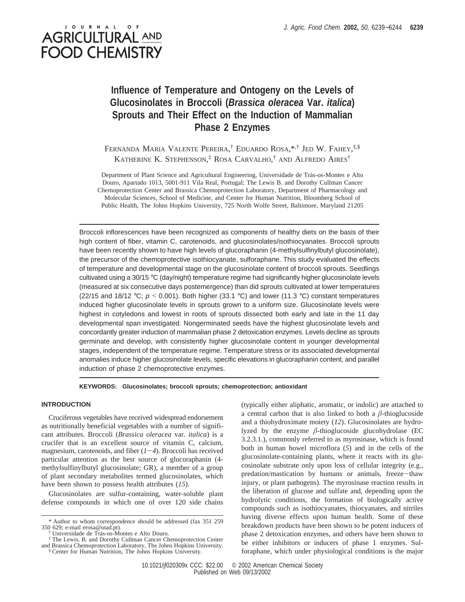# J O U R N A L **AGRICULTURAL AND FOOD CHEMISTRY**

## **Influence of Temperature and Ontogeny on the Levels of Glucosinolates in Broccoli (***Brassica oleracea* **Var.** *italica***) Sprouts and Their Effect on the Induction of Mammalian Phase 2 Enzymes**

Fernanda Maria Valente Pereira,† Eduardo Rosa,\*<sup>,†</sup> Jed W. Fahey,<sup>‡,§</sup> KATHERINE K. STEPHENSON, ‡ ROSA CARVALHO, † AND ALFREDO AIRES†

Department of Plant Science and Agricultural Engineering, Universidade de Trás-os-Montes e Alto Douro, Apartado 1013, 5001-911 Vila Real, Portugal; The Lewis B. and Dorothy Cullman Cancer Chemoprotection Center and Brassica Chemoprotection Laboratory, Department of Pharmacology and Molecular Sciences, School of Medicine, and Center for Human Nutrition, Bloomberg School of Public Health, The Johns Hopkins University, 725 North Wolfe Street, Baltimore, Maryland 21205

Broccoli inflorescences have been recognized as components of healthy diets on the basis of their high content of fiber, vitamin C, carotenoids, and glucosinolates/isothiocyanates. Broccoli sprouts have been recently shown to have high levels of glucoraphanin (4-methylsulfinylbutyl glucosinolate), the precursor of the chemoprotective isothiocyanate, sulforaphane. This study evaluated the effects of temperature and developmental stage on the glucosinolate content of broccoli sprouts. Seedlings cultivated using a 30/15 °C (day/night) temperature regime had significantly higher glucosinolate levels (measured at six consecutive days postemergence) than did sprouts cultivated at lower temperatures (22/15 and 18/12 °C;  $p \le 0.001$ ). Both higher (33.1 °C) and lower (11.3 °C) constant temperatures induced higher glucosinolate levels in sprouts grown to a uniform size. Glucosinolate levels were highest in cotyledons and lowest in roots of sprouts dissected both early and late in the 11 day developmental span investigated. Nongerminated seeds have the highest glucosinolate levels and concordantly greater induction of mammalian phase 2 detoxication enzymes. Levels decline as sprouts germinate and develop, with consistently higher glucosinolate content in younger developmental stages, independent of the temperature regime. Temperature stress or its associated developmental anomalies induce higher glucosinolate levels, specific elevations in glucoraphanin content, and parallel induction of phase 2 chemoprotective enzymes.

#### **KEYWORDS: Glucosinolates; broccoli sprouts; chemoprotection; antioxidant**

### **INTRODUCTION**

Cruciferous vegetables have received widespread endorsement as nutritionally beneficial vegetables with a number of significant attributes. Broccoli (*Brassica oleracea* var. *italica*) is a crucifer that is an excellent source of vitamin C, calcium, magnesium, carotenoids, and fiber  $(1-4)$ . Broccoli has received particular attention as the best source of glucoraphanin (4 methylsulfinylbutyl glucosinolate; GR), a member of a group of plant secondary metabolites termed glucosinolates, which have been shown to possess health attributes (*15*).

Glucosinolates are sulfur-containing, water-soluble plant defense compounds in which one of over 120 side chains

(typically either aliphatic, aromatic, or indolic) are attached to a central carbon that is also linked to both a *â*-thioglucoside and a thiohydroximate moiety (*12*). Glucosinolates are hydrolyzed by the enzyme  $\beta$ -thioglucoside glucohydrolase (EC 3.2.3.1.), commonly referred to as myrosinase, which is found both in human bowel microflora (*5*) and in the cells of the glucosinolate-containing plants, where it reacts with its glucosinolate substrate only upon loss of cellular integrity (e.g., predation/mastication by humans or animals, freeze-thaw injury, or plant pathogens). The myrosinase reaction results in the liberation of glucose and sulfate and, depending upon the hydrolytic conditions, the formation of biologically active compounds such as isothiocyanates, thiocyanates, and nitriles having diverse effects upon human health. Some of these breakdown products have been shown to be potent inducers of phase 2 detoxication enzymes, and others have been shown to be either inhibitors or inducers of phase 1 enzymes. Sulforaphane, which under physiological conditions is the major

<sup>\*</sup> Author to whom correspondence should be addressed (fax 351 259 350 629; e-mail erosa@utad.pt).

<sup>†</sup> Universidade de Tra´s-os-Montes e Alto Douro.

<sup>‡</sup> The Lewis. B. and Dorothy Cullman Cancer Chemoprotection Center and Brassica Chemoprotection Laboratory, The Johns Hopkins University. § Center for Human Nutrition, The Johns Hopkins University.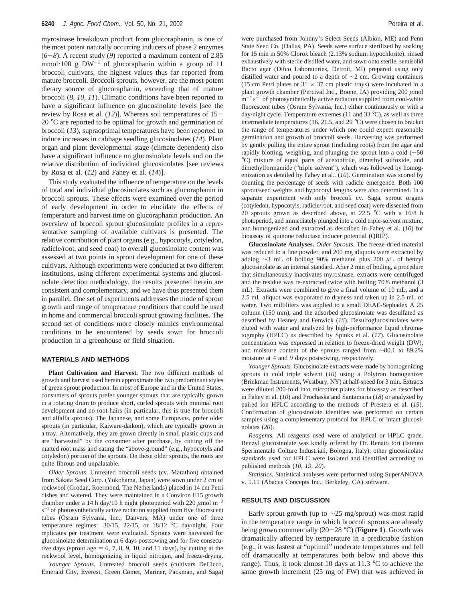myrosinase breakdown product from glucoraphanin, is one of the most potent naturally occurring inducers of phase 2 enzymes (*6*-*8*). A recent study (*9*) reported a maximum content of 2.85 mmol $\cdot$ 100 g DW<sup>-1</sup> of glucoraphanin within a group of 11 broccoli cultivars, the highest values thus far reported from mature broccoli. Broccoli sprouts, however, are the most potent dietary source of glucoraphanin, exceeding that of mature broccoli (*8*, *10*, *11*). Climatic conditions have been reported to have a significant influence on glucosinolate levels [see the review by Rosa et al. (*12*)]. Whereas soil temperatures of 15- 20 °C are reported to be optimal for growth and germination of broccoli (*13*), supraoptimal temperatures have been reported to induce increases in cabbage seedling glucosinolates (*14*). Plant organ and plant developmental stage (climate dependent) also have a significant influence on glucosinolate levels and on the relative distribution of individual glucosinolates [see reviews by Rosa et al. (*12*) and Fahey et al. (*14*)].

This study evaluated the influence of temperature on the levels of total and individual glucosinolates such as glucoraphanin in broccoli sprouts. These effects were examined over the period of early development in order to elucidate the effects of temperature and harvest time on glucoraphanin production. An overview of broccoli sprout glucosinolate profiles in a representative sampling of available cultivars is presented. The relative contribution of plant organs (e.g., hypocotyls, cotyledon, radicle/root, and seed coat) to overall glucosinolate content was assessed at two points in sprout development for one of these cultivars. Although experiments were conducted at two different institutions, using different experimental systems and glucosinolate detection methodology, the results presented herein are consistent and complementary, and we have thus presented them in parallel. One set of experiments addresses the mode of sprout growth and range of temperature conditions that could be used in home and commercial broccoli sprout growing facilities. The second set of conditions more closely mimics environmental conditions to be encountered by seeds sown for broccoli production in a greenhouse or field situation.

#### **MATERIALS AND METHODS**

**Plant Cultivation and Harvest.** The two different methods of growth and harvest used herein approximate the two predominant styles of green sprout production. In most of Europe and in the United States, consumers of sprouts prefer younger sprouts that are typically grown in a rotating drum to produce short, curled sprouts with minimal root development and no root hairs (in particular, this is true for broccoli and alfalfa sprouts). The Japanese, and some Europeans, prefer older sprouts (in particular, Kaiware-daikon), which are typically grown in a tray. Alternatively, they are grown directly in small plastic cups and are "harvested" by the consumer after purchase, by cutting off the matted root mass and eating the "above-ground" (e.g., hypocotyls and cotyledon) portion of the sprouts. On these older sprouts, the roots are quite fibrous and unpalatable.

*Older Sprouts*. Untreated broccoli seeds (cv. Marathon) obtained from Sakata Seed Corp. (Yokohama, Japan) were sown under 2 cm of rockwool (Grodan, Roermond, The Netherlands) placed in 14 cm Petri dishes and watered. They were maintained in a Conviron E15 growth chamber under a 14 h day/10 h night photoperiod with 220  $\mu$ mol m<sup>-2</sup>  $s^{-1}$  of photosynthetically active radiation supplied from five fluorescent tubes (Osram Sylvania, Inc., Danvers, MA) under one of three temperature regimes: 30/15, 22/15, or 18/12 °C day/night. Four replicates per treatment were evaluated. Sprouts were harvested for glucosinolate determination at 6 days postsowing and for five consecutive days (sprout age  $= 6, 7, 8, 9, 10,$  and 11 days), by cutting at the rockwool level, homogenizing in liquid nitrogen, and freeze-drying.

*Younger Sprouts*. Untreated broccoli seeds (cultivars DeCicco, Emerald City, Everest, Green Comet, Mariner, Packman, and Saga)

were purchased from Johnny's Select Seeds (Albion, ME) and Penn State Seed Co. (Dallas, PA). Seeds were surface sterilized by soaking for 15 min in 50% Clorox bleach (2.13% sodium hypochlorite), rinsed exhaustively with sterile distilled water, and sown onto sterile, semisolid Bacto agar (Difco Laboratories, Detroit, MI) prepared using only distilled water and poured to a depth of ∼2 cm. Growing containers (15 cm Petri plates or  $31 \times 37$  cm plastic trays) were incubated in a plant growth chamber (Percival Inc., Boone, IA) providing 200  $\mu$ mol  $m^{-2}$  s<sup>-1</sup> of photosynthetically active radiation supplied from cool-white fluorescent tubes (Osram Sylvania, Inc.) either continuously or with a day/night cycle. Temperature extremes (11 and 33  $^{\circ}$ C), as well as three intermediate temperatures (16, 21.5, and 29 °C) were chosen to bracket the range of temperatures under which one could expect reasonable germination and growth of broccoli seeds. Harvesting was performed by gently pulling the entire sprout (including roots) from the agar and rapidly blotting, weighing, and plunging the sprout into a cold  $(-50$ °C) mixture of equal parts of acetonitrile, dimethyl sulfoxide, and dimethylformamide ("triple solvent"), which was followed by homogenization as detailed by Fahey et al.*.* (*10*). Germination was scored by counting the percentage of seeds with radicle emergence. Both 100 sprout/seed weights and hypocotyl lengths were also determined. In a separate experiment with only broccoli cv. Saga, sprout organs (cotyledon, hypocotyls, radicle/root, and seed coat) were dissected from 20 sprouts grown as described above, at 22.5 °C with a 16/8 h photoperiod, and immediately plunged into a cold triple-solvent mixture, and homogenized and extracted as described in Fahey et al. (*10*) for bioassay of quinone reductase inducer potential (QRIP).

**Glucosinolate Analyses.** *Older Sprouts.* The freeze-dried material was reduced to a fine powder, and 200 mg aliquots were extracted by adding ∼3 mL of boiling 90% methanol plus 200 *µ*L of benzyl glucosinolate as an internal standard. After 2 min of boiling, a procedure that simultaneously inactivates myrosinase, extracts were centrifuged and the residue was re-extracted twice with boiling 70% methanol (3 mL). Extracts were combined to give a final volume of 10 mL, and a 2.5 mL aliquot was evaporated to dryness and taken up in 2.5 mL of water. Two milliliters was applied to a small DEAE-Sephadex A 25 column (150 mm), and the adsorbed glucosinolate was desulfated as described by Heaney and Fenwick (*16*). Desulfoglucosinolates were eluted with water and analyzed by high-performance liquid chromatography (HPLC) as described by Spinks et al. (*17*). Glucosinolate concentration was expressed in relation to freeze-dried weight (DW), and moisture content of the sprouts ranged from ∼80.1 to 89.2% moisture at 4 and 9 days postsowing, respectively.

*Younger Sprouts.* Glucosinolate extracts were made by homogenizing sprouts in cold triple solvent (*10*) using a Polytron homogenizer (Brinkman Instruments, Westbury, NY) at half-speed for 3 min. Extracts were diluted 200-fold into microtiter plates for bioassay as described in Fahey et al. (*10*) and Prochaska and Santamaria (*18*) or analyzed by paired ion HPLC according to the methods of Prestera et al. (*19*). Confirmation of glucosinolate identities was performed on certain samples using a complementary protocol for HPLC of intact glucosinolates (*20*).

*Reagents.* All reagents used were of analytical or HPLC grade. Benzyl glucosinolate was kindly offered by Dr. Renato Iori (Istituto Sperimentale Colture Industriali, Bologna, Italy); other glucosinolate standards used for HPLC were isolated and identified according to published methods (*10*, *19*, *20*).

*Statistics.* Statistical analyses were performed using SuperANOVA v. 1.11 (Abacus Concepts Inc., Berkeley, CA) software.

#### **RESULTS AND DISCUSSION**

Early sprout growth (up to ∼25 mg/sprout) was most rapid in the temperature range in which broccoli sprouts are already being grown commercially (20-<sup>28</sup> °C) (**Figure 1**). Growth was dramatically affected by temperature in a predictable fashion (e.g., it was fastest at "optimal" moderate temperatures and fell off dramatically at temperatures both below and above this range). Thus, it took almost 10 days at 11.3 °C to achieve the same growth increment (25 mg of FW) that was achieved in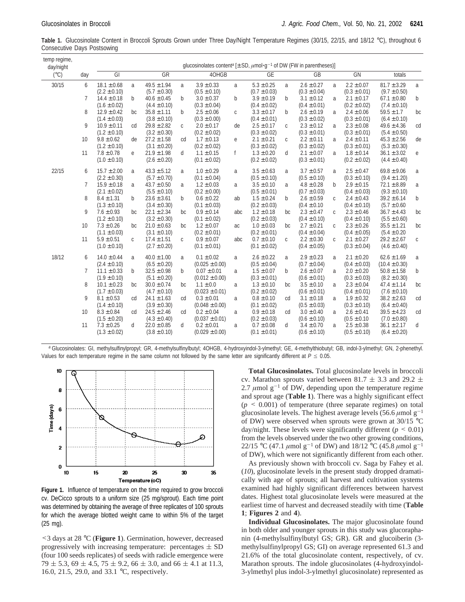Table 1. Glucosinolate Content in Broccoli Sprouts Grown under Three Day/Night Temperature Regimes (30/15, 22/15, and 18/12 °C), throughout 6 Consecutive Days Postsowing

| temp regime,<br>day/night |                 | qlucosinolates content <sup>a</sup> [ $\pm$ SD, $\mu$ mol·g <sup>-1</sup> of DW (FW in parentheses)] |              |                                     |              |                                       |     |                                    |              |                                    |              |                                    |                                      |              |  |
|---------------------------|-----------------|------------------------------------------------------------------------------------------------------|--------------|-------------------------------------|--------------|---------------------------------------|-----|------------------------------------|--------------|------------------------------------|--------------|------------------------------------|--------------------------------------|--------------|--|
| $(^{\circ}C)$             | day             | GI                                                                                                   |              | GR                                  |              | 40HGB                                 |     | GE                                 |              | GB                                 |              | GN                                 | totals                               |              |  |
| 30/15                     | 6               | $18.1 \pm 0.68$<br>$(2.2 \pm 0.10)$                                                                  | a            | $49.5 \pm 1.94$<br>$(5.7 \pm 0.30)$ | a            | $3.9 \pm 0.33$<br>$(0.5 \pm 0.10)$    | a   | $5.3 \pm 0.25$<br>$(0.7 \pm 0.03)$ | a            | $2.6 \pm 0.27$<br>$(0.3 \pm 0.04)$ | a            | $2.2 \pm 0.07$<br>$(0.3 \pm 0.01)$ | $81.7 \pm 3.29$<br>$(9.7 \pm 0.50)$  | a            |  |
|                           | 7               | $14.4 \pm 0.18$<br>$(1.6 \pm 0.02)$                                                                  | $\mathbf b$  | $40.6 \pm 0.45$<br>$(4.4 \pm 0.10)$ | b            | $3.0 \pm 0.37$<br>$(0.3 \pm 0.04)$    | b   | $3.9 \pm 0.19$<br>$(0.4 \pm 0.02)$ | b            | $3.1 \pm 0.12$<br>$(0.4 \pm 0.01)$ | a            | $2.1 \pm 0.17$<br>$(0.2 \pm 0.02)$ | $67.1 \pm 0.80$<br>$(7.4 \pm 0.10)$  | b            |  |
|                           | 8               | $12.9 \pm 0.42$<br>$(1.4 \pm 0.03)$                                                                  | bc.          | $35.8 \pm 1.11$<br>$(3.8 \pm 0.10)$ | $\mathsf{b}$ | $2.5 \pm 0.06$<br>$(0.3 \pm 0.00)$    | C   | $3.3 \pm 0.17$<br>$(0.4 \pm 0.01)$ | $\mathbf b$  | $2.6 \pm 0.19$<br>$(0.3 \pm 0.02)$ | a            | $2.4 \pm 0.06$<br>$(0.3 \pm 0.01)$ | $59.5 \pm 1.7$<br>$(6.4 \pm 0.10)$   | bc           |  |
|                           | 9               | $10.9 \pm 0.11$<br>$(1.2 \pm 0.10)$                                                                  | cd           | $29.8 \pm 2.82$<br>$(3.2 \pm 0.30)$ | $\mathsf{C}$ | $2.0 \pm 0.17$<br>$(0.2 \pm 0.02)$    | de  | $2.5 \pm 0.17$<br>$(0.3 \pm 0.02)$ | $\mathsf{C}$ | $2.3 \pm 0.12$<br>$(0.3 \pm 0.01)$ | a            | $2.3 \pm 0.08$<br>$(0.3 \pm 0.01)$ | $49.6 \pm 4.36$<br>$(5.4 \pm 0.50)$  | cd           |  |
|                           | 10 <sup>°</sup> | $9.8 \pm 0.62$<br>$(1.2 \pm 0.10)$                                                                   | de           | $27.2 \pm 1.58$<br>$(3.1 \pm 0.20)$ | cd           | $1.7 \pm 0.13$<br>$(0.2 \pm 0.02)$    | е   | $2.1 \pm 0.21$<br>$(0.3 \pm 0.02)$ | $\mathsf C$  | $2.2 \pm 0.11$<br>$(0.3 \pm 0.02)$ | a            | $2.4 \pm 0.11$<br>$(0.3 \pm 0.01)$ | $45.3 \pm 2.56$<br>$(5.3 \pm 0.30)$  | de           |  |
|                           | 11              | $7.8 \pm 0.78$<br>$(1.0 \pm 0.10)$                                                                   | e            | $21.9 \pm 1.98$<br>$(2.6 \pm 0.20)$ | d            | $1.1 \pm 0.15$<br>$(0.1 \pm 0.02)$    | f   | $1.3 \pm 0.20$<br>$(0.2 \pm 0.02)$ | d            | $2.1 \pm 0.07$<br>$(0.3 \pm 0.01)$ | a            | $1.8 \pm 0.14$<br>$(0.2 \pm 0.02)$ | $36.1 \pm 3.02$<br>$(4.4 \pm 0.40)$  | $\mathbf{e}$ |  |
| 22/15                     | 6               | $15.7 \pm 2.00$<br>$(2.2 \pm 0.30)$                                                                  | a            | $43.3 \pm 5.12$<br>$(5.7 \pm 0.70)$ | a            | $1.0 \pm 0.29$<br>$(0.1 \pm 0.04)$    | a   | $3.5 \pm 0.63$<br>$(0.5 \pm 0.10)$ | a            | $3.7 \pm 0.57$<br>$(0.5 \pm 0.10)$ | a            | $2.5 \pm 0.47$<br>$(0.3 \pm 0.10)$ | $69.8 \pm 9.06$<br>$(9.4 \pm 1.20)$  | a            |  |
|                           | 7               | $15.9 \pm 0.18$<br>$(2.1 \pm 0.02)$                                                                  | a            | $43.7 \pm 0.50$<br>$(5.5 \pm 0.10)$ | a            | $1.2 \pm 0.03$<br>$(0.2 \pm 0.00)$    | a   | $3.5 \pm 0.10$<br>$(0.5 \pm 0.01)$ | a            | $4.8 \pm 0.28$<br>$(0.7 \pm 0.03)$ | $\mathsf{b}$ | $2.9 \pm 0.15$<br>$(0.4 \pm 0.03)$ | $72.1 \pm 8.89$<br>$(9.3 \pm 0.10)$  | a            |  |
|                           | 8               | $8.4 \pm 1.31$<br>$(1.3 \pm 0.10)$                                                                   | $\mathsf{b}$ | $23.6 \pm 3.61$<br>$(3.4 \pm 0.30)$ | b            | $0.6 \pm 0.22$<br>$(0.1 \pm 0.03)$    | ab  | $1.5 \pm 0.24$<br>$(0.2 \pm 0.03)$ | b            | $2.6 \pm 0.59$<br>$(0.4 \pm 0.10)$ | $\mathsf{C}$ | $2.4 \pm 0.43$<br>$(0.4 \pm 0.10)$ | $39.2 \pm 6.14$<br>$(5.7 \pm 0.60)$  | b            |  |
|                           | 9               | $7.6 \pm 0.93$<br>$(1.2 \pm 0.10)$                                                                   | bc.          | $22.1 \pm 2.34$<br>$(3.2 \pm 0.30)$ | bc.          | $0.9 \pm 0.14$<br>$(0.1 \pm 0.02)$    | abc | $1.2 \pm 0.18$<br>$(0.2 \pm 0.03)$ | bc.          | $2.3 \pm 0.47$<br>$(0.4 \pm 0.10)$ | C.           | $2.3 \pm 0.46$<br>$(0.4 \pm 0.10)$ | $36.7 \pm 4.43$<br>$(5.5 \pm 0.60)$  | bc           |  |
|                           | 10 <sup>°</sup> | $7.3 \pm 0.26$<br>$(1.1 \pm 0.03)$                                                                   | bc           | $21.0 \pm 0.63$<br>$(3.1 \pm 0.10)$ | bc           | $1.2 \pm 0.07$<br>$(0.2 \pm 0.01)$    | ac  | $1.0 \pm 0.03$<br>$(0.2 \pm 0.01)$ | bc           | $2.7 \pm 0.21$<br>$(0.4 \pm 0.04)$ | $\mathsf{C}$ | $2.3 \pm 0.26$<br>$(0.4 \pm 0.05)$ | $35.5 \pm 1.21$<br>$(5.4 \pm 0.20)$  | bc           |  |
|                           | 11              | $5.9 \pm 0.51$<br>$(1.0 \pm 0.10)$                                                                   | $\mathsf{C}$ | $17.4 \pm 1.51$<br>$(2.7 \pm 0.20)$ | $\mathsf{C}$ | $0.9 \pm 0.07$<br>$(0.1 \pm 0.01)$    | abc | $0.7 \pm 0.10$<br>$(0.1 \pm 0.02)$ | $\mathsf{C}$ | $2.2 \pm 0.30$<br>$(0.4 \pm 0.05)$ | $\mathsf{C}$ | $2.1 \pm 0.27$<br>$(0.3 \pm 0.04)$ | $29.2 \pm 2.67$<br>$(4.6 \pm 0.40)$  | $\mathsf C$  |  |
| 18/12                     | 6               | $14.0 \pm 0.44$<br>$(2.4 \pm 0.10)$                                                                  | a            | $40.0 \pm 1.00$<br>$(6.5 \pm 0.20)$ | a            | $0.1 \pm 0.02$<br>$(0.025 \pm 0.00)$  | a   | $2.6 \pm 0.22$<br>$(0.5 \pm 0.04)$ | a            | $2.9 \pm 0.23$<br>$(0.7 \pm 0.04)$ | a            | $2.1 \pm 0.20$<br>$(0.4 \pm 0.03)$ | $62.6 \pm 1.69$<br>$(10.4 \pm 0.30)$ | a            |  |
|                           | 7               | $11.1 \pm 0.33$<br>$(1.9 \pm 0.10)$                                                                  | $\mathsf{b}$ | $32.5 \pm 0.98$<br>$(5.1 \pm 0.20)$ | b            | $0.07 \pm 0.01$<br>$(0.012 \pm 0.00)$ | a   | $1.5 \pm 0.07$<br>$(0.3 \pm 0.01)$ | b            | $2.6 \pm 0.07$<br>$(0.6 \pm 0.01)$ | a            | $2.0 \pm 0.20$<br>$(0.3 \pm 0.03)$ | $50.8 \pm 1.58$<br>$(8.2 \pm 0.30)$  | $\mathsf b$  |  |
|                           | 8               | $10.1 \pm 0.23$<br>$(1.7 \pm 0.03)$                                                                  | bc           | $30.0 \pm 0.74$<br>$(4.7 \pm 0.10)$ | bc           | $1.1 \pm 0.0$<br>$(0.023 \pm 0.01)$   | a   | $1.3 \pm 0.10$<br>$(0.2 \pm 0.02)$ | bc           | $3.5 \pm 0.10$<br>$(0.6 \pm 0.01)$ | a            | $2.3 \pm 0.04$<br>$(0.4 \pm 0.01)$ | $47.4 \pm 1.14$<br>$(7.6 \pm 0.10)$  | bc           |  |
|                           | 9               | $8.1 \pm 0.53$<br>$(1.4 \pm 0.10)$                                                                   | cd           | $24.1 \pm 1.63$<br>$(3.9 \pm 0.30)$ | cd           | $0.3 \pm 0.01$<br>$(0.048 \pm 0.00)$  | a   | $0.8 \pm 0.10$<br>$(0.1 \pm 0.02)$ | cd           | $3.1 \pm 0.18$<br>$(0.5 \pm 0.03)$ | a            | $1.9 \pm 0.32$<br>$(0.3 \pm 0.10)$ | $38.2 \pm 2.63$<br>$(6.4 \pm 0.40)$  | cd           |  |
|                           | 10              | $8.3 \pm 0.84$<br>$(1.5 \pm 0.20)$                                                                   | cd           | $24.5 \pm 2.46$<br>$(4.3 \pm 0.40)$ | cd           | $0.2 \pm 0.04$<br>$(0.037 \pm 0.01)$  | a   | $0.9 \pm 0.18$<br>$(0.2 \pm 0.03)$ | cd           | $3.0 \pm 0.40$<br>$(0.6 \pm 0.10)$ | a            | $2.6 \pm 0.41$<br>$(0.5 \pm 0.10)$ | $39.5 \pm 4.23$<br>$(7.0 \pm 0.80)$  | cd           |  |
|                           | 11              | $7.3 \pm 0.25$<br>$(1.3 \pm 0.02)$                                                                   | d            | $22.0 \pm 0.85$<br>$(3.8 \pm 0.10)$ | d            | $0.2 \pm 0.01$<br>$(0.029 \pm 0.00)$  | a   | $0.7 \pm 0.08$<br>$(0.1 \pm 0.01)$ | d            | $3.4 \pm 0.70$<br>$(0.6 \pm 0.10)$ | a            | $2.5 \pm 0.38$<br>$(0.5 \pm 0.10)$ | $36.1 \pm 2.17$<br>$(6.4 \pm 0.20)$  | d            |  |

*<sup>a</sup>* Glucosinolates: GI, methylsulfinylpropyl; GR, 4-methylsulfinylbutyl; 4OHGB, 4-hydroxyindol-3-ylmethyl; GE, 4-methylthiobutyl; GB, indol-3-ylmethyl; GN, 2-phenethyl. Values for each temperature regime in the same column not followed by the same letter are significantly different at  $P \le 0.05$ .



**Figure 1.** Influence of temperature on the time required to grow broccoli cv. DeCicco sprouts to a uniform size (25 mg/sprout). Each time point was determined by obtaining the average of three replicates of 100 sprouts for which the average blotted weight came to within 5% of the target (25 mg).

<3 days at 28 °C (**Figure 1**). Germination, however, decreased progressively with increasing temperature: percentages  $\pm$  SD (four 100 seeds replicates) of seeds with radicle emergence were  $79 \pm 5.3$ ,  $69 \pm 4.5$ ,  $75 \pm 9.2$ ,  $66 \pm 3.0$ , and  $66 \pm 4.1$  at 11.3, 16.0, 21.5, 29.0, and 33.1 °C, respectively.

**Total Glucosinolates.** Total glucosinolate levels in broccoli cv. Marathon sprouts varied between 81.7  $\pm$  3.3 and 29.2  $\pm$ 2.7  $\mu$ mol g<sup>-1</sup> of DW, depending upon the temperature regime and sprout age (**Table 1**). There was a highly significant effect  $(p \leq 0.001)$  of temperature (three separate regimes) on total glucosinolate levels. The highest average levels (56.6  $\mu$ mol g<sup>-1</sup> of DW) were observed when sprouts were grown at 30/15 °C day/night. These levels were significantly different  $(p \le 0.01)$ from the levels observed under the two other growing conditions, 22/15 °C (47.1  $\mu$ mol g<sup>-1</sup> of DW) and 18/12 °C (45.8  $\mu$ mol g<sup>-1</sup> of DW), which were not significantly different from each other.

As previously shown with broccoli cv. Saga by Fahey et al. (*10*), glucosinolate levels in the present study dropped dramatically with age of sprouts; all harvest and cultivation systems examined had highly significant differences between harvest dates. Highest total glucosinolate levels were measured at the earliest time of harvest and decreased steadily with time (**Table 1**; **Figures 2** and **4**).

**Individual Glucosinolates.** The major glucosinolate found in both older and younger sprouts in this study was glucoraphanin (4-methylsulfinylbutyl GS; GR). GR and glucoiberin (3 methylsulfinylpropyl GS; GI) on average represented 61.3 and 21.6% of the total glucosinolate content, respectively, of cv. Marathon sprouts. The indole glucosinolates (4-hydroxyindol-3-ylmethyl plus indol-3-ylmethyl glucosinolate) represented as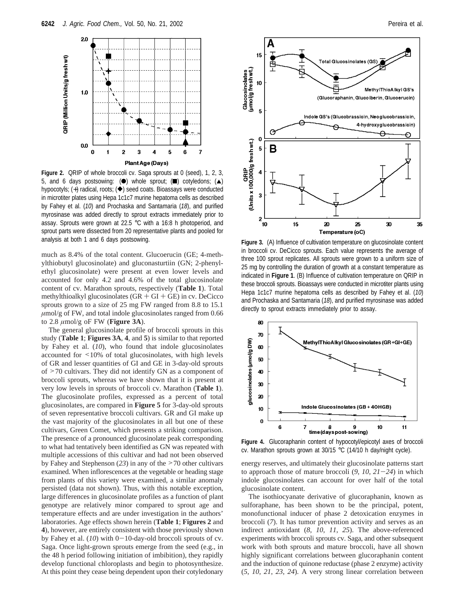

**Figure 2.** QRIP of whole broccoli cv. Saga sprouts at 0 (seed), 1, 2, 3, 5, and 6 days postsowing: ( $\bullet$ ) whole sprout;  $\bullet$ ) cotyledons;  $\bullet$ ) hypocotyls; (+) radical, roots;  $(\triangle)$  seed coats. Bioassays were conducted in microtiter plates using Hepa 1c1c7 murine hepatoma cells as described by Fahey et al. (*10*) and Prochaska and Santamaria (*18*), and purified myrosinase was added directly to sprout extracts immediately prior to assay. Sprouts were grown at 22.5 °C with a 16:8 h photoperiod, and sprout parts were dissected from 20 representative plants and pooled for analysis at both 1 and 6 days postsowing. **Figure 3.** (A) Influence of cultivation temperature on glucosinolate content

much as 8.4% of the total content. Glucoerucin (GE; 4-methylthiobutyl glucosinolate) and gluconasturtiin (GN; 2-phenylethyl glucosinolate) were present at even lower levels and accounted for only 4.2 and 4.6% of the total glucosinolate content of cv. Marathon sprouts, respectively (**Table 1**). Total methylthioalkyl glucosinolates  $(GR + GI + GE)$  in cv. DeCicco sprouts grown to a size of 25 mg FW ranged from 8.8 to 15.1 *µ*mol/g of FW, and total indole glucosinolates ranged from 0.66 to 2.8 *µ*mol/g oF FW (**Figure 3A**).

The general glucosinolate profile of broccoli sprouts in this study (**Table 1**; **Figures 3A**, **4**, and **5**) is similar to that reported by Fahey et al. (*10*), who found that indole glucosinolates accounted for <10% of total glucosinolates, with high levels of GR and lesser quantities of GI and GE in 3-day-old sprouts of >70 cultivars. They did not identify GN as a component of broccoli sprouts, whereas we have shown that it is present at very low levels in sprouts of broccoli cv. Marathon (**Table 1**). The glucosinolate profiles, expressed as a percent of total glucosinolates, are compared in **Figure 5** for 3-day-old sprouts of seven representative broccoli cultivars. GR and GI make up the vast majority of the glucosinolates in all but one of these cultivars, Green Comet, which presents a striking comparison. The presence of a pronounced glucosinolate peak corresponding to what had tentatively been identified as GN was repeated with multiple accessions of this cultivar and had not been observed by Fahey and Stephenson (*23*) in any of the >70 other cultivars examined. When inflorescences at the vegetable or heading stage from plants of this variety were examined, a similar anomaly persisted (data not shown). Thus, with this notable exception, large differences in glucosinolate profiles as a function of plant genotype are relatively minor compared to sprout age and temperature effects and are under investigation in the authors' laboratories. Age effects shown herein (**Table 1**; **Figures 2** and **4**), however, are entirely consistent with those previously shown by Fahey et al. (10) with 0-10-day-old broccoli sprouts of cv. Saga. Once light-grown sprouts emerge from the seed (e.g., in the 48 h period following initiation of imbibition), they rapidly develop functional chloroplasts and begin to photosynthesize. At this point they cease being dependent upon their cotyledonary



in broccoli cv. DeCicco sprouts. Each value represents the average of three 100 sprout replicates. All sprouts were grown to a uniform size of 25 mg by controlling the duration of growth at a constant temperature as indicated in **Figure 1**. (B) Influence of cultivation temperature on QRIP in these broccoli sprouts. Bioassays were conducted in microtiter plants using Hepa 1c1c7 murine hepatoma cells as described by Fahey et al. (*10*) and Prochaska and Santamaria (*18*), and purified myrosinase was added directly to sprout extracts immediately prior to assay.



**Figure 4.** Glucoraphanin content of hypocotyl/epicotyl axes of broccoli cv. Marathon sprouts grown at 30/15 °C (14/10 h day/night cycle).

energy reserves, and ultimately their glucosinolate patterns start to approach those of mature broccoli (*9*, *<sup>10</sup>*, *<sup>21</sup>*-*24*) in which indole glucosinolates can account for over half of the total glucosinolate content.

The isothiocyanate derivative of glucoraphanin, known as sulforaphane, has been shown to be the principal, potent, monofunctional inducer of phase 2 detoxication enzymes in broccoli (*7*). It has tumor prevention activity and serves as an indirect antioxidant (*8*, *10*, *11*, *25*). The above-referenced experiments with broccoli sprouts cv. Saga, and other subsequent work with both sprouts and mature broccoli, have all shown highly significant correlations between glucoraphanin content and the induction of quinone reductase (phase 2 enzyme) activity (*5*, *10*, *21*, *23*, *24*). A very strong linear correlation between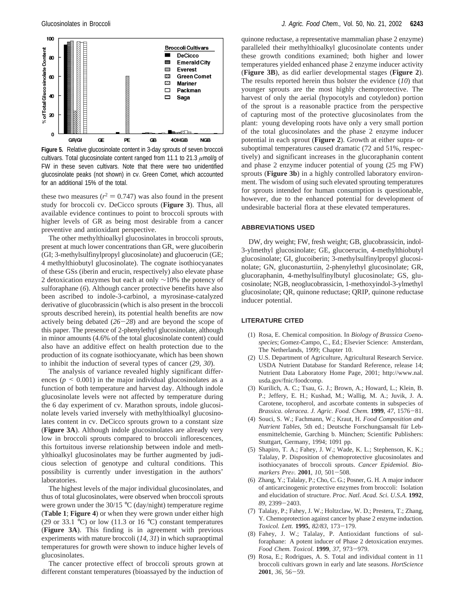

**Figure 5.** Relative glucosinolate content in 3-day sprouts of seven broccoli cultivars. Total glucosinolate content ranged from 11.1 to 21.3 *µ*mol/g of FW in these seven cultivars. Note that there were two unidentified glucosinolate peaks (not shown) in cv. Green Comet, which accounted for an additional 15% of the total.

these two measures ( $r^2 = 0.747$ ) was also found in the present study for broccoli cv. DeCicco sprouts (**Figure 3**). Thus, all available evidence continues to point to broccoli sprouts with higher levels of GR as being most desirable from a cancer preventive and antioxidant perspective.

The other methylthioalkyl glucosinolates in broccoli sprouts, present at much lower concentrations than GR, were glucoiberin (GI; 3-methylsulfinylpropyl glucosinolate) and glucoerucin (GE; 4 methylthiobutyl glucosinolate). The cognate isothiocyanates of these GSs (iberin and erucin, respectively) also elevate phase 2 detoxication enzymes but each at only ∼10% the potency of sulforaphane (*6*). Although cancer protective benefits have also been ascribed to indole-3-carbinol, a myrosinase-catalyzed derivative of glucobrassicin (which is also present in the broccoli sprouts described herein), its potential health benefits are now actively being debated (*26*-*28*) and are beyond the scope of this paper. The presence of 2-phenylethyl glucosinolate, although in minor amounts (4.6% of the total glucosinolate content) could also have an additive effect on health protection due to the production of its cognate isothiocyanate, which has been shown to inhibit the induction of several types of cancer (*29*, *30*).

The analysis of variance revealed highly significant differences  $(p \le 0.001)$  in the major individual glucosinolates as a function of both temperature and harvest day. Although indole glucosinolate levels were not affected by temperature during the 6 day experiment of cv. Marathon sprouts, indole glucosinolate levels varied inversely with methylthioalkyl glucosinolates content in cv. DeCicco sprouts grown to a constant size (**Figure 3A**). Although indole glucosinolates are already very low in broccoli sprouts compared to broccoli inflorescences, this fortuitous inverse relationship between indole and methylthioalkyl glucosinolates may be further augmented by judicious selection of genotype and cultural conditions. This possibility is currently under investigation in the authors' laboratories.

The highest levels of the major individual glucosinolates, and thus of total glucosinolates, were observed when broccoli sprouts were grown under the 30/15 °C (day/night) temperature regime (**Table 1**; **Figure 4**) or when they were grown under either high (29 or 33.1 °C) or low (11.3 or 16 °C) constant temperatures (**Figure 3A**). This finding is in agreement with previous experiments with mature broccoli (*14*, *31*) in which supraoptimal temperatures for growth were shown to induce higher levels of glucosinolates.

The cancer protective effect of broccoli sprouts grown at different constant temperatures (bioassayed by the induction of

quinone reductase, a representative mammalian phase 2 enzyme) paralleled their methylthioalkyl glucosinolate contents under these growth conditions examined; both higher and lower temperatures yielded enhanced phase 2 enzyme inducer activity (**Figure 3B**), as did earlier developmental stages (**Figure 2**). The results reported herein thus bolster the evidence (*10*) that younger sprouts are the most highly chemoprotective. The harvest of only the aerial (hypocotyls and cotyledon) portion of the sprout is a reasonable practice from the perspective of capturing most of the protective glucosinolates from the plant: young developing roots have only a very small portion of the total glucosinolates and the phase 2 enzyme inducer potential in each sprout (**Figure 2**). Growth at either supra- or suboptimal temperatures caused dramatic (72 and 51%, respectively) and significant increases in the glucoraphanin content and phase 2 enzyme inducer potential of young (25 mg FW) sprouts (**Figure 3b**) in a highly controlled laboratory environment. The wisdom of using such elevated sprouting temperatures for sprouts intended for human consumption is questionable, however, due to the enhanced potential for development of undesirable bacterial flora at these elevated temperatures.

#### **ABBREVIATIONS USED**

DW, dry weight; FW, fresh weight; GB, glucobrassicin, indol-3-ylmethyl glucosinolate; GE, glucoerucin, 4-methylthiobutyl glucosinolate; GI, glucoiberin; 3-methylsulfinylpropyl glucosinolate; GN, gluconasturtiin, 2-phenylethyl glucosinolate; GR, glucoraphanin, 4-methylsulfinylbutyl glucosinolate; GS, glucosinolate; NGB, neoglucobrassicin, 1-methoxyindol-3-ylmethyl glucosinolate; QR, quinone reductase; QRIP, quinone reductase inducer potential.

#### **LITERATURE CITED**

- (1) Rosa, E. Chemical composition. In *Biology of Brassica Coenospecies*; Gomez-Campo, C., Ed.; Elsevier Science: Amsterdam, The Netherlands, 1999; Chapter 10.
- (2) U.S. Department of Agriculture, Agricultural Research Service. USDA Nutrient Database for Standard Reference, release 14; Nutrient Data Laboratory Home Page, 2001; http://www.nal. usda.gov/fnic/foodcomp.
- (3) Kurilich, A. C.; Tsau, G. J.; Brown, A.; Howard, L.; Klein, B. P.; Jeffery, E. H.; Kushad, M.; Wallig, M. A.; Juvik, J. A. Carotene, tocopherol, and ascorbate contents in subspecies of *Brassica. oleracea*. *J. Agric. Food. Chem.* **<sup>1999</sup>**, *<sup>47</sup>*, 1576-81.
- (4) Souci, S. W.; Fachmann, W.; Kraut, H. *Food Composition and Nutrient Tables*, 5th ed.; Deutsche Forschungsansalt für Lebensmittelchemie, Garching b. München; Scientific Publishers: Stuttgart, Germany, 1994; 1091 pp.
- (5) Shapiro, T. A.; Fahey, J. W.; Wade, K. L.; Stephenson, K. K.; Talalay, P. Disposition of chemoprotective glucosinolates and isothiocyanates of broccoli sprouts. *Cancer Epidemiol. Biomarkers Pre*V*.* **<sup>2001</sup>**, *<sup>10</sup>*, 501-508.
- (6) Zhang, Y.; Talalay, P.; Cho, C. G.; Posner, G. H. A major inducer of anticarcinogenic protective enzymes from broccoli: Isolation and elucidation of structure. *Proc. Natl. Acad. Sci. U.S.A.* **1992**, *<sup>89</sup>*, 2399-2403.
- (7) Talalay, P.; Fahey, J. W.; Holtzclaw, W. D.; Prestera, T.; Zhang, Y. Chemoprotection against cancer by phase 2 enzyme induction. *Toxicol. Lett.* **<sup>1995</sup>**, *82/83*, 173-179.
- (8) Fahey, J. W.; Talalay, P. Antioxidant functions of sulforaphane: A potent inducer of Phase 2 detoxication enzymes. *Food Chem. Toxicol*. **<sup>1999</sup>**, *<sup>37</sup>*, 973-979.
- (9) Rosa, E.; Rodrigues, A. S. Total and individual content in 11 broccoli cultivars grown in early and late seasons. *HortScience* **<sup>2001</sup>**, *<sup>36</sup>*, 56-59.